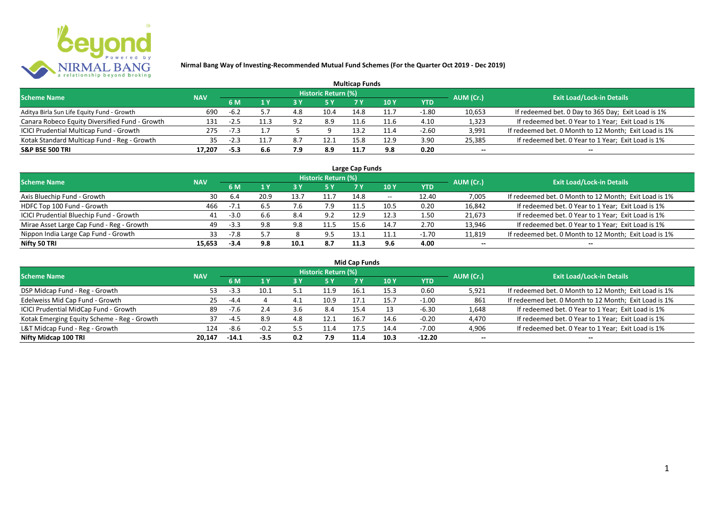

|                                                |            |        |     |     |                     | <b>Multicap Funds</b> |      |         |           |                                                       |
|------------------------------------------------|------------|--------|-----|-----|---------------------|-----------------------|------|---------|-----------|-------------------------------------------------------|
| <b>Scheme Name</b>                             | <b>NAV</b> |        |     |     | Historic Return (%) |                       |      |         | AUM (Cr.) | <b>Exit Load/Lock-in Details</b>                      |
|                                                |            | 6 M    |     |     |                     |                       | 10 Y | YTD     |           |                                                       |
| Aditya Birla Sun Life Equity Fund - Growth     | 690        | $-6.2$ |     | 4.8 | 10.4                | 14.8                  | 11.7 | $-1.80$ | 10,653    | If redeemed bet. 0 Day to 365 Day; Exit Load is 1%    |
| Canara Robeco Equity Diversified Fund - Growth | 131        |        |     | 9.2 | 8.9                 | 11.6                  |      | 4.10    | 1,323     | If redeemed bet. 0 Year to 1 Year; Exit Load is 1%    |
| ICICI Prudential Multicap Fund - Growth        | 275        |        |     |     |                     | 13.2                  |      | $-2.60$ | 3,991     | If redeemed bet. 0 Month to 12 Month; Exit Load is 1% |
| Kotak Standard Multicap Fund - Reg - Growth    | 35         |        |     | 8.7 | 12.1                | 15.8                  | 12.9 | 3.90    | 25,385    | If redeemed bet. 0 Year to 1 Year; Exit Load is 1%    |
| <b>S&amp;P BSE 500 TRI</b>                     | 17.207     | -5.3   | 6.6 | 7.9 | 8.9                 | 11.7                  | 9.8  | 0.20    | --        | $- -$                                                 |

| Large Cap Funds                           |            |           |      |      |                            |      |                          |         |           |                                                       |  |  |  |
|-------------------------------------------|------------|-----------|------|------|----------------------------|------|--------------------------|---------|-----------|-------------------------------------------------------|--|--|--|
| <b>Scheme Name</b>                        | <b>NAV</b> |           |      |      | <b>Historic Return (%)</b> |      |                          |         | AUM (Cr.) | <b>Exit Load/Lock-in Details</b>                      |  |  |  |
|                                           |            | <b>6M</b> |      |      | <b>5 Y</b>                 | 7 Y  | 10Y                      | YTD     |           |                                                       |  |  |  |
| Axis Bluechip Fund - Growth               | 30         | 6.4       | 20.9 | 13.7 |                            | 14.8 | $\overline{\phantom{a}}$ | 12.40   | 7,005     | If redeemed bet. 0 Month to 12 Month; Exit Load is 1% |  |  |  |
| HDFC Top 100 Fund - Growth                | 466        | $-7.1$    |      |      | 7.9                        | 11.5 | 10.5                     | 0.20    | 16,842    | If redeemed bet. 0 Year to 1 Year; Exit Load is 1%    |  |  |  |
| ICICI Prudential Bluechip Fund - Growth   | 41         | $-3.0$    | 6.6  | 8.4  | 9.2                        | 12.9 | 12.3                     | 1.50    | 21,673    | If redeemed bet. 0 Year to 1 Year; Exit Load is 1%    |  |  |  |
| Mirae Asset Large Cap Fund - Reg - Growth | 49         | $-3.3$    | 9.8  | 9.8  | 11.'                       | 15.6 | 14.7                     | 2.70    | 13,946    | If redeemed bet. 0 Year to 1 Year; Exit Load is 1%    |  |  |  |
| Nippon India Large Cap Fund - Growth      | 33         | $-7.8$    |      |      | 9.5                        | 13.1 | 11.1                     | $-1.70$ | 11,819    | If redeemed bet. 0 Month to 12 Month; Exit Load is 1% |  |  |  |
| Nifty 50 TRI                              | 15.653     | $-3.4$    | 9.8  | 10.1 | 8.7                        | 11.3 | 9.6                      | 4.00    | $- -$     | $- -$                                                 |  |  |  |

| <b>Mid Cap Funds</b>                        |            |         |        |      |                            |      |      |            |           |                                                       |  |  |  |  |
|---------------------------------------------|------------|---------|--------|------|----------------------------|------|------|------------|-----------|-------------------------------------------------------|--|--|--|--|
| <b>Scheme Name</b>                          | <b>NAV</b> |         |        |      | <b>Historic Return (%)</b> |      |      |            | AUM (Cr.) | <b>Exit Load/Lock-in Details</b>                      |  |  |  |  |
|                                             |            | 6 M     | 1 Y    |      | <b>5 Y</b>                 |      | 10 Y | <b>YTD</b> |           |                                                       |  |  |  |  |
| DSP Midcap Fund - Reg - Growth              | 53         | $-3.3$  | 10.1   | ь.   | 11.9                       | 16.1 | 15.3 | 0.60       | 5,921     | If redeemed bet. 0 Month to 12 Month; Exit Load is 1% |  |  |  |  |
| Edelweiss Mid Cap Fund - Growth             | 25         | $-4.4$  |        | - 4. | 10.9                       | 17.1 | 15.7 | $-1.00$    | 861       | If redeemed bet. 0 Month to 12 Month; Exit Load is 1% |  |  |  |  |
| ICICI Prudential MidCap Fund - Growth       | 89         | $-7.6$  | 2.4    | 3.6  | 8.4                        | 15.4 |      | -6.30      | 1,648     | If redeemed bet. 0 Year to 1 Year; Exit Load is 1%    |  |  |  |  |
| Kotak Emerging Equity Scheme - Reg - Growth | 37         | -4.5    | 8.9    | 4.8  | 12.1                       | 16.7 | 14.6 | $-0.20$    | 4,470     | If redeemed bet. 0 Year to 1 Year; Exit Load is 1%    |  |  |  |  |
| L&T Midcap Fund - Reg - Growth              | 124        | -8.6    | $-0.2$ | 5.5  | 11.4                       | 17.5 | 14.4 | $-7.00$    | 4,906     | If redeemed bet. 0 Year to 1 Year; Exit Load is 1%    |  |  |  |  |
| Nifty Midcap 100 TRI                        | 20.147     | $-14.1$ | $-3.5$ | 0.2  | 7.9                        | 11.4 | 10.3 | $-12.20$   | $- -$     | $- -$                                                 |  |  |  |  |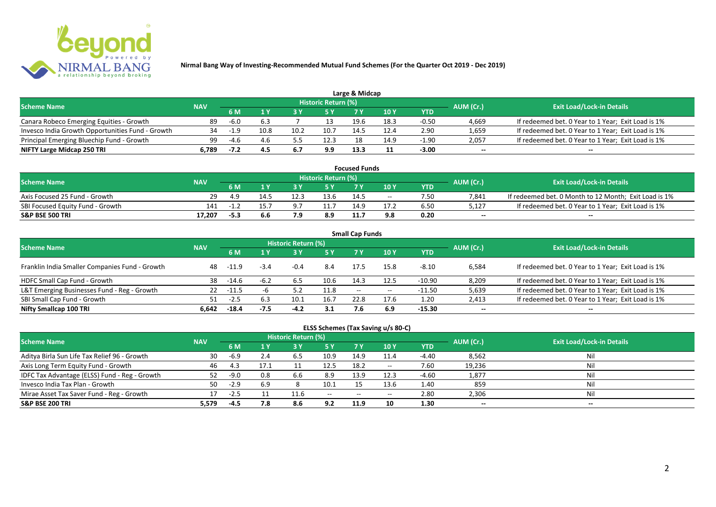

|                                                  |            |        |      |      |                            | Large & Midcap |      |         |           |                                                    |
|--------------------------------------------------|------------|--------|------|------|----------------------------|----------------|------|---------|-----------|----------------------------------------------------|
| <b>Scheme Name</b>                               | <b>NAV</b> |        |      |      | <b>Historic Return (%)</b> |                |      |         | AUM (Cr.) | <b>Exit Load/Lock-in Details</b>                   |
|                                                  |            | 6 M    |      |      | 5 Y                        |                |      | YTD     |           |                                                    |
| Canara Robeco Emerging Equities - Growth         | 89         | $-6.0$ | 6.3  |      |                            | 19.6           | 18.3 | $-0.50$ | 4,669     | If redeemed bet. 0 Year to 1 Year; Exit Load is 1% |
| Invesco India Growth Opportunities Fund - Growth |            | $-1.9$ | 10.8 | 10.2 | 10.7                       | 14.            | 12.4 | 2.90    | 1,659     | If redeemed bet. 0 Year to 1 Year; Exit Load is 1% |
| Principal Emerging Bluechip Fund - Growth        | 99         | -4.6   | 4.6  |      | 12.3                       | 18             | 14.9 | $-1.90$ | 2,057     | If redeemed bet. 0 Year to 1 Year; Exit Load is 1% |
| NIFTY Large Midcap 250 TRI                       | 6.789      | -7.2   | 4.5  | 6.7  | 9.9                        | 13.3           |      | $-3.00$ | $- -$     | $- -$                                              |

| <b>Focused Funds</b>             |            |        |      |            |                            |      |       |      |           |                                                       |  |  |  |
|----------------------------------|------------|--------|------|------------|----------------------------|------|-------|------|-----------|-------------------------------------------------------|--|--|--|
| <b>Scheme Name</b>               | <b>NAV</b> |        |      |            | <b>Historic Return (%)</b> |      |       |      | AUM (Cr.) | <b>Exit Load/Lock-in Details</b>                      |  |  |  |
|                                  |            | 6 M    |      |            | 5 Y                        |      | 10 Y  | YTD  |           |                                                       |  |  |  |
| Axis Focused 25 Fund - Growth    | 29.        | 4.9    | 14.5 | 12.3       | 13.6                       | 14.5 | $- -$ | 7.50 | 7,841     | If redeemed bet. 0 Month to 12 Month; Exit Load is 1% |  |  |  |
| SBI Focused Equity Fund - Growth | 141        | $-1$   | 15.7 | <b>Q</b> . | 11.7                       | 14.9 |       | 6.50 | 5,127     | If redeemed bet. 0 Year to 1 Year; Exit Load is 1%    |  |  |  |
| <b>S&amp;P BSE 500 TRI</b>       | 17.207     | $-5.3$ |      | 70         | 8.9                        | 11.  | 9.8   | 0.20 | $-$       | $-$                                                   |  |  |  |

| <b>Small Cap Funds</b>                         |            |         |        |                     |      |                          |       |            |           |                                                    |  |  |  |
|------------------------------------------------|------------|---------|--------|---------------------|------|--------------------------|-------|------------|-----------|----------------------------------------------------|--|--|--|
| <b>Scheme Name</b>                             | <b>NAV</b> |         |        | Historic Return (%) |      |                          |       |            | AUM (Cr.) | <b>Exit Load/Lock-in Details</b>                   |  |  |  |
|                                                |            |         |        |                     | 5 Y  | 7 Y                      | 10Y   | <b>YTD</b> |           |                                                    |  |  |  |
| Franklin India Smaller Companies Fund - Growth | 48         | -11.9   | $-3.4$ | -0.4                | 8.4  | 17.5                     | 15.8  | $-8.10$    | 6,584     | If redeemed bet. 0 Year to 1 Year; Exit Load is 1% |  |  |  |
| HDFC Small Cap Fund - Growth                   | 38         | $-14.6$ | $-6.2$ | 6.5                 | 10.6 | 14.3                     | 12.5  | $-10.90$   | 8,209     | If redeemed bet. 0 Year to 1 Year; Exit Load is 1% |  |  |  |
| L&T Emerging Businesses Fund - Reg - Growth    | 22         | $-11.5$ |        | 5.2                 | 11.8 | $\overline{\phantom{a}}$ | $- -$ | -11.50     | 5,639     | If redeemed bet. 0 Year to 1 Year; Exit Load is 1% |  |  |  |
| SBI Small Cap Fund - Growth                    |            | $-2.5$  | 6.3    | 10.1                | 16.7 | 22.8                     | 17.6  | 1.20       | 2,413     | If redeemed bet. 0 Year to 1 Year; Exit Load is 1% |  |  |  |
| Nifty Smallcap 100 TRI                         | 6.642      | $-18.4$ | $-7.5$ | $-4.2$              | 3.1  | 7.6                      | 6.9   | $-15.30$   | $- -$     | --                                                 |  |  |  |

## **ELSS Schemes (Tax Saving u/s 80-C)**

| <b>Scheme Name</b>                            | <b>NAV</b> |        |     | <b>Historic Return (%)</b> |              |       |            |         | AUM (Cr.) | <b>Exit Load/Lock-in Details</b> |
|-----------------------------------------------|------------|--------|-----|----------------------------|--------------|-------|------------|---------|-----------|----------------------------------|
|                                               |            | 6 M    |     |                            | <b>5Y</b>    | 7 V   | <b>10Y</b> | YTD     |           |                                  |
| Aditya Birla Sun Life Tax Relief 96 - Growth  | 30         | -6.9   | 2.4 | 6.5                        | 10.9         | 14.9  | 11.4       | -4.40   | 8,562     | Nil                              |
| Axis Long Term Equity Fund - Growth           | 46         | 4.3    |     |                            | 12.5         | 18.2  | $- -$      | 7.60    | 19,236    | Nil                              |
| IDFC Tax Advantage (ELSS) Fund - Reg - Growth |            | $-9.0$ | 0.8 | 6.6                        | 8.9          | 13.9  | 12.3       | $-4.60$ | 1,877     | Nil                              |
| Invesco India Tax Plan - Growth               | 50         | $-2.9$ | 6.9 |                            | 10.1         |       | 13.6       | 1.40    | 859       | Nil                              |
| Mirae Asset Tax Saver Fund - Reg - Growth     | 17         | -2.5   |     | 11.6                       | $-$ – $\sim$ | $- -$ | $- -$      | 2.80    | 2,306     | Nil                              |
| <b>S&amp;P BSE 200 TRI</b>                    | 5,579      | -4.5   | 7.8 | 8.6                        | 9.2          | 11.9  | 10         | 1.30    | $- -$     | $- -$                            |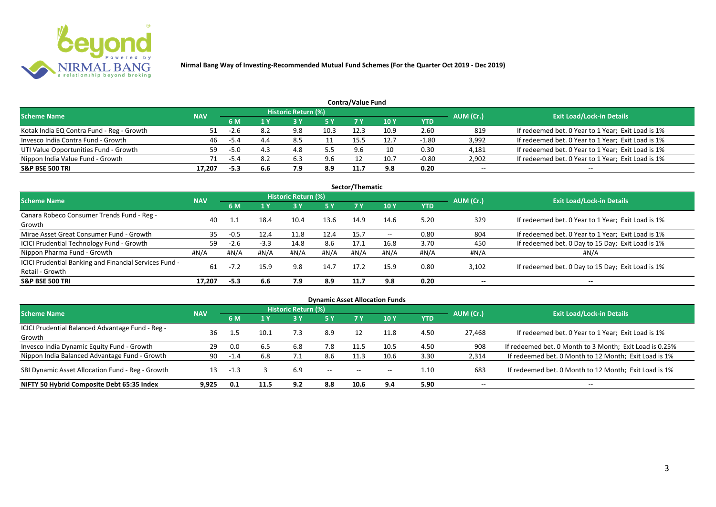

| Contra/Value Fund                         |            |        |     |                            |           |      |      |            |           |                                                    |  |  |  |  |
|-------------------------------------------|------------|--------|-----|----------------------------|-----------|------|------|------------|-----------|----------------------------------------------------|--|--|--|--|
| <b>Scheme Name</b>                        | <b>NAV</b> |        |     | <b>Historic Return (%)</b> |           |      |      |            | AUM (Cr.) | <b>Exit Load/Lock-in Details</b>                   |  |  |  |  |
|                                           |            | 6 M    |     |                            | <b>5Y</b> |      | 10 Y | <b>YTD</b> |           |                                                    |  |  |  |  |
| Kotak India EQ Contra Fund - Reg - Growth |            | -2.b   | 8.2 | 9.8                        | 10.3      | 12.3 | 10.9 | 2.60       | 819       | If redeemed bet. 0 Year to 1 Year; Exit Load is 1% |  |  |  |  |
| Invesco India Contra Fund - Growth        | 46         | -5.4   | 4.4 | 8.5                        |           | 15.5 | 12.7 | $-1.80$    | 3,992     | If redeemed bet. 0 Year to 1 Year; Exit Load is 1% |  |  |  |  |
| UTI Value Opportunities Fund - Growth     | 59         | $-5.0$ |     | 4.8                        |           |      |      | 0.30       | 4,181     | If redeemed bet. 0 Year to 1 Year; Exit Load is 1% |  |  |  |  |
| Nippon India Value Fund - Growth          | 71         | -5.4   | 8.2 | 6.3                        | 9.6       |      | 10.7 | $-0.80$    | 2,902     | If redeemed bet. 0 Year to 1 Year; Exit Load is 1% |  |  |  |  |
| <b>S&amp;P BSE 500 TRI</b>                | 17.207     | $-5.3$ | 6.6 | 7.9                        | 8.9       | 11.7 | 9.8  | 0.20       | $- -$     | $- -$                                              |  |  |  |  |

| Sector/Thematic                                                           |            |        |              |                            |           |      |            |      |           |                                                    |  |  |  |
|---------------------------------------------------------------------------|------------|--------|--------------|----------------------------|-----------|------|------------|------|-----------|----------------------------------------------------|--|--|--|
| Scheme Name                                                               | <b>NAV</b> |        |              | <b>Historic Return (%)</b> |           |      |            |      | AUM (Cr.) | <b>Exit Load/Lock-in Details</b>                   |  |  |  |
|                                                                           |            | 6 M    | $\sqrt{1}$ Y | <b>3 Y</b>                 | <b>5Y</b> | 7 Y  | <b>10Y</b> | YTD  |           |                                                    |  |  |  |
| Canara Robeco Consumer Trends Fund - Reg -<br>Growth                      | 40         |        | 18.4         | 10.4                       | 13.6      | 14.9 | 14.6       | 5.20 | 329       | If redeemed bet. 0 Year to 1 Year; Exit Load is 1% |  |  |  |
| Mirae Asset Great Consumer Fund - Growth                                  | 35         | $-0.5$ | 12.4         | 11.8                       | 12.4      | 15.7 | $- -$      | 0.80 | 804       | If redeemed bet. 0 Year to 1 Year; Exit Load is 1% |  |  |  |
| ICICI Prudential Technology Fund - Growth                                 | 59         | $-2.6$ | $-3.3$       | 14.8                       | 8.6       | 17.1 | 16.8       | 3.70 | 450       | If redeemed bet. 0 Day to 15 Day; Exit Load is 1%  |  |  |  |
| Nippon Pharma Fund - Growth                                               | #N/A       | #N/A   | #N/A         | #N/A                       | #N/A      | #N/A | #N/A       | #N/A | #N/A      | #N/A                                               |  |  |  |
| ICICI Prudential Banking and Financial Services Fund -<br>Retail - Growth | 61         | $-7.2$ | 15.9         | 9.8                        | 14.7      | 17.2 | 15.9       | 0.80 | 3,102     | If redeemed bet. 0 Day to 15 Day; Exit Load is 1%  |  |  |  |
| <b>S&amp;P BSE 500 TRI</b>                                                | 17.207     | $-5.3$ | 6.6          | 7.9                        | 8.9       | 11.7 | 9.8        | 0.20 | --        |                                                    |  |  |  |

| <b>Dynamic Asset Allocation Funds</b>                      |            |        |      |                            |           |                          |       |      |           |                                                         |  |  |  |
|------------------------------------------------------------|------------|--------|------|----------------------------|-----------|--------------------------|-------|------|-----------|---------------------------------------------------------|--|--|--|
| <b>Scheme Name</b>                                         | <b>NAV</b> |        |      | <b>Historic Return (%)</b> |           |                          |       |      | AUM (Cr.) | <b>Exit Load/Lock-in Details</b>                        |  |  |  |
|                                                            |            | 6 M    | 1 Y  |                            | <b>5Y</b> | <b>7Y</b>                | 10Y   | YTD  |           |                                                         |  |  |  |
| ICICI Prudential Balanced Advantage Fund - Reg -<br>Growth | 36         |        | 10.1 | 7.3                        | 8.9       | 12                       | 11.8  | 4.50 | 27,468    | If redeemed bet. 0 Year to 1 Year; Exit Load is 1%      |  |  |  |
| Invesco India Dynamic Equity Fund - Growth                 | 29         | 0.0    | 6.5  | 6.8                        | 7.8       | 11.5                     | 10.5  | 4.50 | 908       | If redeemed bet. 0 Month to 3 Month; Exit Load is 0.25% |  |  |  |
| Nippon India Balanced Advantage Fund - Growth              | 90         | $-1.4$ | 6.8  |                            | 8.6       |                          | 10.6  | 3.30 | 2,314     | If redeemed bet. 0 Month to 12 Month; Exit Load is 1%   |  |  |  |
| SBI Dynamic Asset Allocation Fund - Reg - Growth           | 13         | $-1.3$ |      | 6.9                        | $- -$     | $\overline{\phantom{a}}$ | $- -$ | 1.10 | 683       | If redeemed bet. 0 Month to 12 Month; Exit Load is 1%   |  |  |  |
| NIFTY 50 Hybrid Composite Debt 65:35 Index                 | 9.925      | 0.1    | 11.5 | 9.2                        | 8.8       | 10.6                     | 9.4   | 5.90 | $- -$     | $- -$                                                   |  |  |  |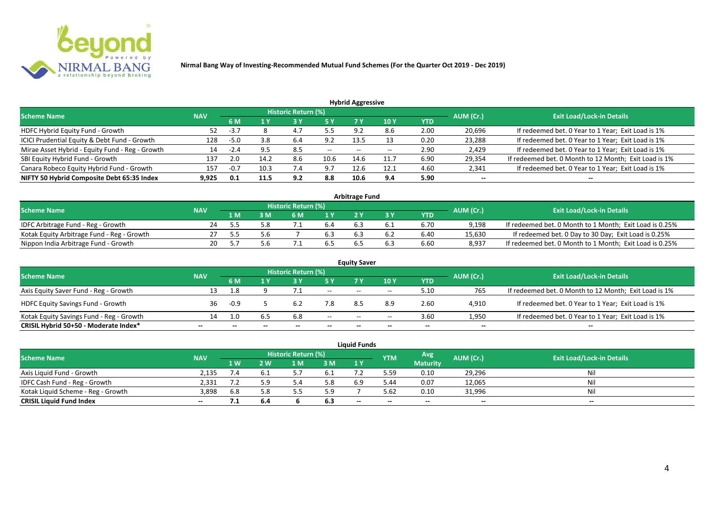

| <b>Hybrid Aggressive</b>                        |            |        |      |                            |       |       |       |            |           |                                                       |  |  |  |
|-------------------------------------------------|------------|--------|------|----------------------------|-------|-------|-------|------------|-----------|-------------------------------------------------------|--|--|--|
| <b>Scheme Name</b>                              | <b>NAV</b> |        |      | <b>Historic Return (%)</b> |       |       |       |            | AUM (Cr.) | <b>Exit Load/Lock-in Details</b>                      |  |  |  |
|                                                 |            | 6 M    |      |                            | 5 Y   |       | 10 Y  | <b>YTD</b> |           |                                                       |  |  |  |
| HDFC Hybrid Equity Fund - Growth                | 52         | $-3.7$ |      | 4.7                        | 55    | 9.2   | 8.6   | 2.00       | 20,696    | If redeemed bet. 0 Year to 1 Year; Exit Load is 1%    |  |  |  |
| ICICI Prudential Equity & Debt Fund - Growth    | 128        | $-5.0$ | 3.8  | 6.4                        | 9.2   | 13.5  |       | 0.20       | 23,288    | If redeemed bet. 0 Year to 1 Year; Exit Load is 1%    |  |  |  |
| Mirae Asset Hybrid - Equity Fund - Reg - Growth | 14         | $-2.4$ |      | 8.5                        | $- -$ | $- -$ | $- -$ | 2.90       | 2,429     | If redeemed bet. 0 Year to 1 Year; Exit Load is 1%    |  |  |  |
| SBI Equity Hybrid Fund - Growth                 | 137        | 2.0    | 14.2 | 8.6                        | 10.6  | 14.6  | 11.7  | 6.90       | 29,354    | If redeemed bet. 0 Month to 12 Month; Exit Load is 1% |  |  |  |
| Canara Robeco Equity Hybrid Fund - Growth       | 157        | $-0.7$ | 10.3 | 7.4                        | 9.7   | 12.6  | 12.1  | 4.60       | 2,341     | If redeemed bet. 0 Year to 1 Year; Exit Load is 1%    |  |  |  |
| NIFTY 50 Hybrid Composite Debt 65:35 Index      | 9.925      | 0.1    | 11.5 | 9.2                        | 8.8   | 10.6  | 9.4   | 5.90       | $- -$     | --                                                    |  |  |  |

| <b>Arbitrage Fund</b>                      |            |     |     |                            |                  |  |     |      |           |                                                         |  |  |  |
|--------------------------------------------|------------|-----|-----|----------------------------|------------------|--|-----|------|-----------|---------------------------------------------------------|--|--|--|
| <b>Scheme Name</b>                         | <b>NAV</b> |     |     | <b>Historic Return (%)</b> |                  |  |     |      | AUM (Cr.) | <b>Exit Load/Lock-in Details</b>                        |  |  |  |
|                                            |            | L M | : M | 6 M                        | $\overline{1}$ Y |  |     | YTD  |           |                                                         |  |  |  |
| IDFC Arbitrage Fund - Reg - Growth         | 24         | -55 |     |                            | 6.4              |  | 0.1 | 6.70 | 9,198     | If redeemed bet. 0 Month to 1 Month; Exit Load is 0.25% |  |  |  |
| Kotak Equity Arbitrage Fund - Reg - Growth |            | --  |     |                            |                  |  |     | 6.40 | 15,630    | If redeemed bet. 0 Day to 30 Day; Exit Load is 0.25%    |  |  |  |
| Nippon India Arbitrage Fund - Growth       | 20.        |     |     |                            | 6.5              |  |     | 6.60 | 8,937     | If redeemed bet. 0 Month to 1 Month; Exit Load is 0.25% |  |  |  |

| <b>Equity Saver</b>                      |            |        |     |                            |        |                          |       |            |           |                                                       |  |  |  |
|------------------------------------------|------------|--------|-----|----------------------------|--------|--------------------------|-------|------------|-----------|-------------------------------------------------------|--|--|--|
| <b>Scheme Name</b>                       | <b>NAV</b> |        |     | <b>Historic Return (%)</b> |        |                          |       |            | AUM (Cr.) | <b>Exit Load/Lock-in Details</b>                      |  |  |  |
|                                          |            | 6 M    |     |                            | 5 Y    | 7V                       | 10Y   | <b>YTD</b> |           |                                                       |  |  |  |
| Axis Equity Saver Fund - Reg - Growth    | 13         |        |     |                            | $\sim$ | $- -$                    | $- -$ | 5.10       | 765       | If redeemed bet. 0 Month to 12 Month; Exit Load is 1% |  |  |  |
| <b>HDFC Equity Savings Fund - Growth</b> | 36.        | $-0.9$ |     | 6.2                        | 7.8    | 8.5                      | 8.9   | 2.60       | 4,910     | If redeemed bet. 0 Year to 1 Year; Exit Load is 1%    |  |  |  |
| Kotak Equity Savings Fund - Reg - Growth | 14         |        | 6.5 | 6.8                        | $- -$  | $\overline{\phantom{a}}$ | $- -$ | 3.60       | 1,950     | If redeemed bet. 0 Year to 1 Year; Exit Load is 1%    |  |  |  |
| CRISIL Hybrid 50+50 - Moderate Index*    | $- -$      |        |     |                            |        | --                       | $- -$ | $- -$      | $- -$     | $- -$                                                 |  |  |  |

|                                    |            |     |              |                     |     | Liauid Funds |            |                 |           |                                  |
|------------------------------------|------------|-----|--------------|---------------------|-----|--------------|------------|-----------------|-----------|----------------------------------|
| <b>Scheme Name</b>                 | <b>NAV</b> |     |              | Historic Return (%) |     |              | <b>YTM</b> | Avg.            | AUM (Cr.) | <b>Exit Load/Lock-in Details</b> |
|                                    |            | 1 W | $\mathbf{w}$ | 1 M                 | 3 M | 1Y           |            | <b>Maturity</b> |           |                                  |
| Axis Liquid Fund - Growth          | 2.135      |     | 6.1          |                     | 0.1 |              | 5.59       | 0.10            | 29,296    | Nil                              |
| IDFC Cash Fund - Reg - Growth      | 2.331      |     | 5.9          |                     | 5.8 | 6.9          | 44.د       | 0.07            | 12,065    | Nil                              |
| Kotak Liquid Scheme - Reg - Growth | 3,898      | 6.8 | 5.8          |                     | 5.9 |              | 5.62       | 0.10            | 31,996    | Nil                              |
| <b>CRISIL Liquid Fund Index</b>    | $- -$      | .   | 6.4          |                     | 6.3 | $-$          | $- -$      | $-$             | $-$       | $- -$                            |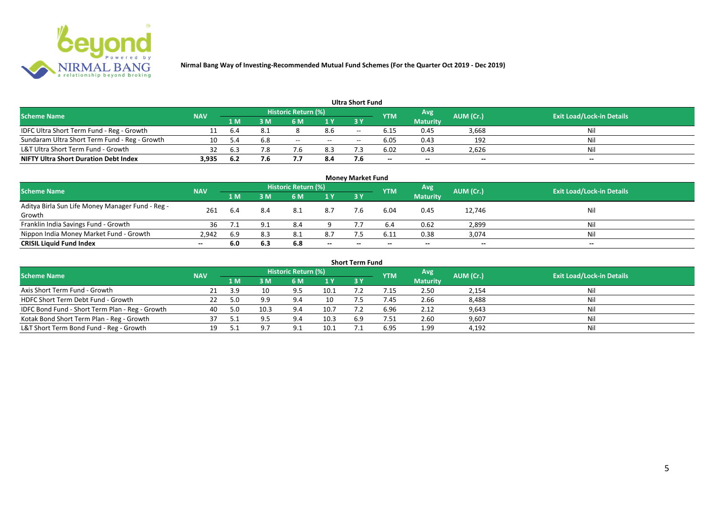

|                                               |            |      |     |                     |     | <b>Ultra Short Fund</b> |                          |                 |           |                                  |
|-----------------------------------------------|------------|------|-----|---------------------|-----|-------------------------|--------------------------|-----------------|-----------|----------------------------------|
| <b>Scheme Name</b>                            | <b>NAV</b> |      |     | Historic Return (%) |     |                         | <b>YTM</b>               | Avg             | AUM (Cr.) | <b>Exit Load/Lock-in Details</b> |
|                                               |            | 1 M  | 8 M | 6 M                 | 1 Y | 3 Y                     |                          | <b>Maturity</b> |           |                                  |
| IDFC Ultra Short Term Fund - Reg - Growth     |            | 6.4  |     |                     | 8.6 | $- -$                   |                          | 0.45            | 3,668     | Nil                              |
| Sundaram Ultra Short Term Fund - Reg - Growth | 10         |      | 6.8 | $- -$               | $-$ | $- -$                   | 6.05                     | 0.43            | 192       | Nil                              |
| L&T Ultra Short Term Fund - Growth            | 32         | 6.3  |     |                     | 8.3 |                         | 6.02                     | 0.43            | 2,626     | Nil                              |
| <b>NIFTY Ultra Short Duration Debt Index</b>  | 3,935      | -6.2 | 7.6 |                     | 8.4 |                         | $\overline{\phantom{a}}$ | $- -$           | $-$       | $- -$                            |

|                                                  |            |      |     |                            |                          | <b>Money Market Fund</b> |            |                 |           |                                  |
|--------------------------------------------------|------------|------|-----|----------------------------|--------------------------|--------------------------|------------|-----------------|-----------|----------------------------------|
| <b>Scheme Name</b>                               | <b>NAV</b> |      |     | <b>Historic Return (%)</b> |                          |                          | <b>YTM</b> | Avg             | AUM (Cr.) | <b>Exit Load/Lock-in Details</b> |
|                                                  |            | 1 M  | 3 M | 6 M                        | 1Y                       | 3Y                       |            | <b>Maturity</b> |           |                                  |
| Aditya Birla Sun Life Money Manager Fund - Reg - | 261        | -6.4 | 8.4 | 8.1                        | 8.7                      | 7.6                      | 6.04       | 0.45            |           | Nil                              |
| Growth                                           |            |      |     |                            |                          |                          |            |                 | 12,746    |                                  |
| Franklin India Savings Fund - Growth             | 36         |      |     | 8.4                        |                          |                          |            | 0.62            | 2,899     | Nil                              |
| Nippon India Money Market Fund - Growth          | 2.942      | 6.9  | 8.3 | 8.1                        | 8.7                      |                          | 6.11       | 0.38            | 3,074     | Nil                              |
| <b>CRISIL Liquid Fund Index</b>                  | $- -$      | 6.0  | 6.3 | 6.8                        | $\overline{\phantom{a}}$ | $- -$                    | --         | $- -$           | $-$       | $- -$                            |

|                                                 |            |      |      |                     |      | <b>Short Term Fund</b> |            |                 |           |                                  |
|-------------------------------------------------|------------|------|------|---------------------|------|------------------------|------------|-----------------|-----------|----------------------------------|
| <b>Scheme Name</b>                              | <b>NAV</b> |      |      | Historic Return (%) |      |                        | <b>YTM</b> | Avg             | AUM (Cr.) | <b>Exit Load/Lock-in Details</b> |
|                                                 |            | 1 M. | 3 M  | 6 M                 | 1Y   | <b>3 Y</b>             |            | <b>Maturity</b> |           |                                  |
| Axis Short Term Fund - Growth                   |            | 3.9  | 10   | 9.5                 | 10.1 |                        |            | 2.50            | 2,154     | Nil                              |
| HDFC Short Term Debt Fund - Growth              |            | 5.0  |      | 9.4                 | 10   |                        | 7.45       | 2.66            | 8,488     | Nil                              |
| IDFC Bond Fund - Short Term Plan - Reg - Growth | 40         | -5.0 | 10.3 | 9.4                 | 10.7 |                        | 6.96       | 2.12            | 9,643     | Nil                              |
| Kotak Bond Short Term Plan - Reg - Growth       | 37         |      |      | 9.4                 | 10.3 | 6.9                    | 7.51       | 2.60            | 9,607     | Nil                              |
| L&T Short Term Bond Fund - Reg - Growth         |            |      |      | $\Omega$            | 10.1 |                        | 6.95       | 1.99            | 4,192     | Nil                              |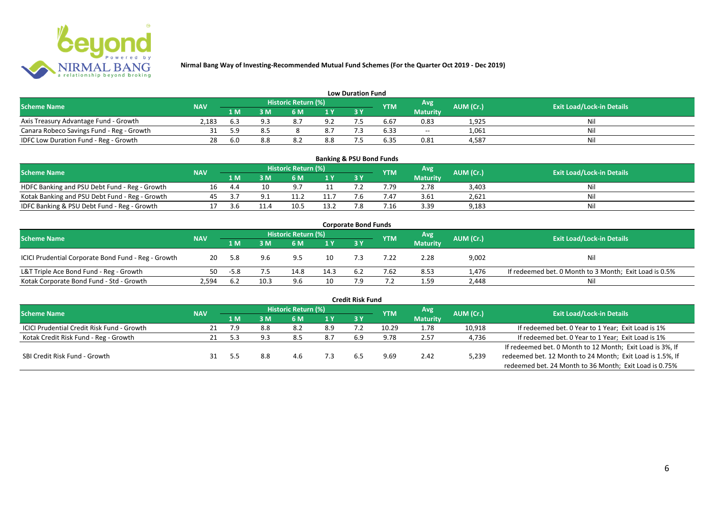

|                                           |            |     |     |                     |     | <b>Low Duration Fund</b> |            |                 |           |                                  |
|-------------------------------------------|------------|-----|-----|---------------------|-----|--------------------------|------------|-----------------|-----------|----------------------------------|
| <b>Scheme Name</b>                        | <b>NAV</b> |     |     | Historic Return (%) |     |                          | <b>YTM</b> | Avg'            | AUM (Cr.) | <b>Exit Load/Lock-in Details</b> |
|                                           |            | 1 M | 3 M | 6 M                 | 1 Y | 3 Y                      |            | <b>Maturity</b> |           |                                  |
| Axis Treasury Advantage Fund - Growth     | 2.183      | b.3 |     | 8.7                 | 9.2 |                          | b.b        | 0.83            | 1,925     | Nil                              |
| Canara Robeco Savings Fund - Reg - Growth |            | 59  |     |                     | 8.7 |                          | 6.33       | $- -$           | 1,061     | Nil                              |
| IDFC Low Duration Fund - Reg - Growth     | 28         | 6.0 |     | $\circ$<br>O.Z      | 8.8 |                          | 6.35       | 0.81            | 4,587     | Nil                              |

| <b>Banking &amp; PSU Bond Funds</b>            |            |     |    |                     |  |  |            |                 |           |                                  |  |  |  |  |
|------------------------------------------------|------------|-----|----|---------------------|--|--|------------|-----------------|-----------|----------------------------------|--|--|--|--|
| <b>Scheme Name</b>                             | <b>NAV</b> |     |    | Historic Return (%) |  |  | <b>YTM</b> | Avg             | AUM (Cr.) | <b>Exit Load/Lock-in Details</b> |  |  |  |  |
|                                                |            | 1 M | ١M | 6 M                 |  |  |            | <b>Maturity</b> |           |                                  |  |  |  |  |
| HDFC Banking and PSU Debt Fund - Reg - Growth  |            |     |    | - Q 7               |  |  | 7.79       | 2.78            | 3,403     | Nil                              |  |  |  |  |
| Kotak Banking and PSU Debt Fund - Reg - Growth |            |     |    |                     |  |  |            | 3.61            | 2.621     | Nil                              |  |  |  |  |
| IDFC Banking & PSU Debt Fund - Reg - Growth    |            |     |    |                     |  |  | .16        | 3.39            | 9,183     | Nil                              |  |  |  |  |

| <b>Corporate Bond Funds</b>                         |            |      |      |                     |      |     |            |                 |           |                                                        |  |  |  |  |
|-----------------------------------------------------|------------|------|------|---------------------|------|-----|------------|-----------------|-----------|--------------------------------------------------------|--|--|--|--|
| <b>Scheme Name</b>                                  | <b>NAV</b> |      |      | Historic Return (%) |      |     | <b>YTM</b> | Avg'            | AUM (Cr.) | <b>Exit Load/Lock-in Details</b>                       |  |  |  |  |
|                                                     |            | 1 M  | l M  | 6 M                 | 1 Y  | 3Y  |            | <b>Maturity</b> |           |                                                        |  |  |  |  |
| ICICI Prudential Corporate Bond Fund - Reg - Growth | 20         | -5.8 | 9.6  | 9.5                 | 10   |     | 22         | 2.28            | 9,002     | Nil                                                    |  |  |  |  |
| L&T Triple Ace Bond Fund - Reg - Growth             | 50         | -5.8 |      | 14.8                | 14.3 | 6.2 | 7.62       | 8.53            | 1,476     | If redeemed bet. 0 Month to 3 Month; Exit Load is 0.5% |  |  |  |  |
| Kotak Corporate Bond Fund - Std - Growth            | 2.594      | 6.2  | 10.3 | 9.6                 | 10   |     |            | 1.59            | 2,448     | Nil                                                    |  |  |  |  |

| <b>Credit Risk Fund</b>                    |            |      |     |                            |      |     |       |                 |           |                                                           |  |  |  |
|--------------------------------------------|------------|------|-----|----------------------------|------|-----|-------|-----------------|-----------|-----------------------------------------------------------|--|--|--|
| <b>Scheme Name</b>                         | <b>NAV</b> |      |     | <b>Historic Return (%)</b> |      |     | YTM   | Avg             | AUM (Cr.) | <b>Exit Load/Lock-in Details</b>                          |  |  |  |
|                                            |            | 1 M. | 3 M | 6 M                        | '1 Y | 3 Y |       | <b>Maturity</b> |           |                                                           |  |  |  |
| ICICI Prudential Credit Risk Fund - Growth |            | 7.9  |     | 8.2                        | 8.9  |     | 10.29 | 1.78            | 10,918    | If redeemed bet. 0 Year to 1 Year; Exit Load is 1%        |  |  |  |
| Kotak Credit Risk Fund - Reg - Growth      |            | 5.3  | 9.3 | 8.5                        | 8.7  | 6.9 | 9.78  | 2.57            | 4,736     | If redeemed bet. 0 Year to 1 Year; Exit Load is 1%        |  |  |  |
|                                            |            |      |     |                            |      |     |       |                 |           | If redeemed bet. 0 Month to 12 Month; Exit Load is 3%, If |  |  |  |
| SBI Credit Risk Fund - Growth              |            |      |     | 4.6                        | 7.3  | 6.5 | 9.69  | 2.42            | 5,239     | redeemed bet. 12 Month to 24 Month; Exit Load is 1.5%, If |  |  |  |
|                                            |            |      |     |                            |      |     |       |                 |           | redeemed bet. 24 Month to 36 Month; Exit Load is 0.75%    |  |  |  |